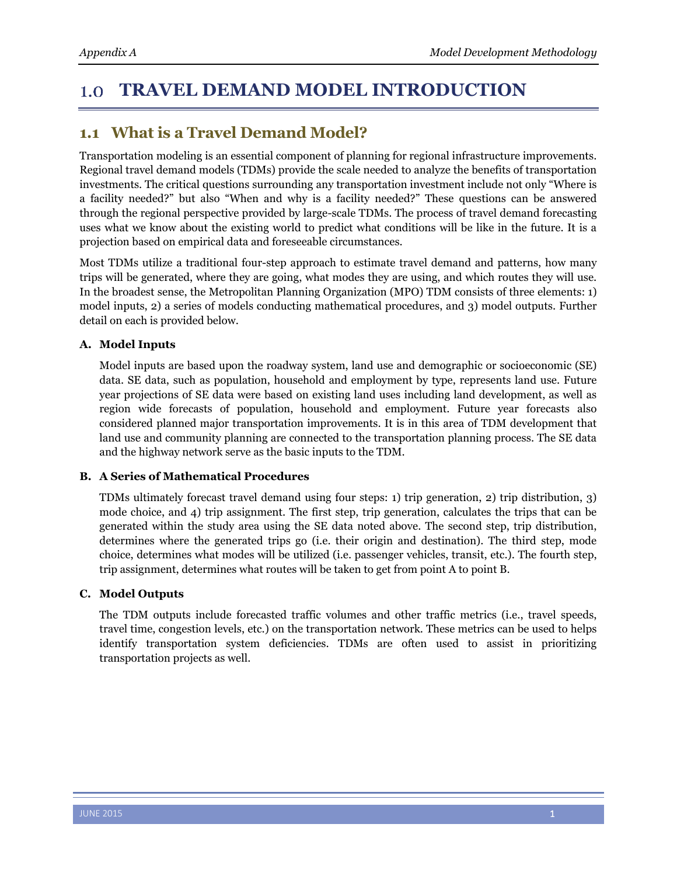#### **TRAVEL DEMAND MODEL INTRODUCTION** 1.0

# **1.1 What is a Travel Demand Model?**

Transportation modeling is an essential component of planning for regional infrastructure improvements. Regional travel demand models (TDMs) provide the scale needed to analyze the benefits of transportation investments. The critical questions surrounding any transportation investment include not only "Where is a facility needed?" but also "When and why is a facility needed?" These questions can be answered through the regional perspective provided by large-scale TDMs. The process of travel demand forecasting uses what we know about the existing world to predict what conditions will be like in the future. It is a projection based on empirical data and foreseeable circumstances.

Most TDMs utilize a traditional four-step approach to estimate travel demand and patterns, how many trips will be generated, where they are going, what modes they are using, and which routes they will use. In the broadest sense, the Metropolitan Planning Organization (MPO) TDM consists of three elements: 1) model inputs, 2) a series of models conducting mathematical procedures, and 3) model outputs. Further detail on each is provided below.

## **A. Model Inputs**

Model inputs are based upon the roadway system, land use and demographic or socioeconomic (SE) data. SE data, such as population, household and employment by type, represents land use. Future year projections of SE data were based on existing land uses including land development, as well as region wide forecasts of population, household and employment. Future year forecasts also considered planned major transportation improvements. It is in this area of TDM development that land use and community planning are connected to the transportation planning process. The SE data and the highway network serve as the basic inputs to the TDM.

### **B. A Series of Mathematical Procedures**

TDMs ultimately forecast travel demand using four steps: 1) trip generation, 2) trip distribution, 3) mode choice, and 4) trip assignment. The first step, trip generation, calculates the trips that can be generated within the study area using the SE data noted above. The second step, trip distribution, determines where the generated trips go (i.e. their origin and destination). The third step, mode choice, determines what modes will be utilized (i.e. passenger vehicles, transit, etc.). The fourth step, trip assignment, determines what routes will be taken to get from point A to point B.

### **C. Model Outputs**

The TDM outputs include forecasted traffic volumes and other traffic metrics (i.e., travel speeds, travel time, congestion levels, etc.) on the transportation network. These metrics can be used to helps identify transportation system deficiencies. TDMs are often used to assist in prioritizing transportation projects as well.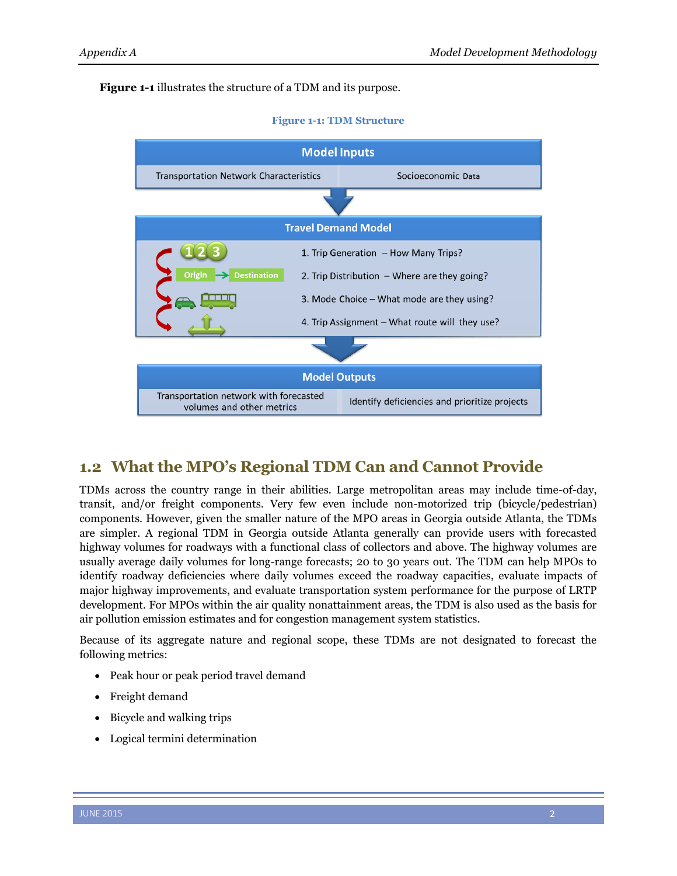### **[Figure 1-1](#page-1-0)** illustrates the structure of a TDM and its purpose.

<span id="page-1-0"></span>

# **1.2 What the MPO's Regional TDM Can and Cannot Provide**

TDMs across the country range in their abilities. Large metropolitan areas may include time-of-day, transit, and/or freight components. Very few even include non-motorized trip (bicycle/pedestrian) components. However, given the smaller nature of the MPO areas in Georgia outside Atlanta, the TDMs are simpler. A regional TDM in Georgia outside Atlanta generally can provide users with forecasted highway volumes for roadways with a functional class of collectors and above. The highway volumes are usually average daily volumes for long-range forecasts; 20 to 30 years out. The TDM can help MPOs to identify roadway deficiencies where daily volumes exceed the roadway capacities, evaluate impacts of major highway improvements, and evaluate transportation system performance for the purpose of LRTP development. For MPOs within the air quality nonattainment areas, the TDM is also used as the basis for air pollution emission estimates and for congestion management system statistics.

Because of its aggregate nature and regional scope, these TDMs are not designated to forecast the following metrics:

- Peak hour or peak period travel demand
- Freight demand
- Bicycle and walking trips
- Logical termini determination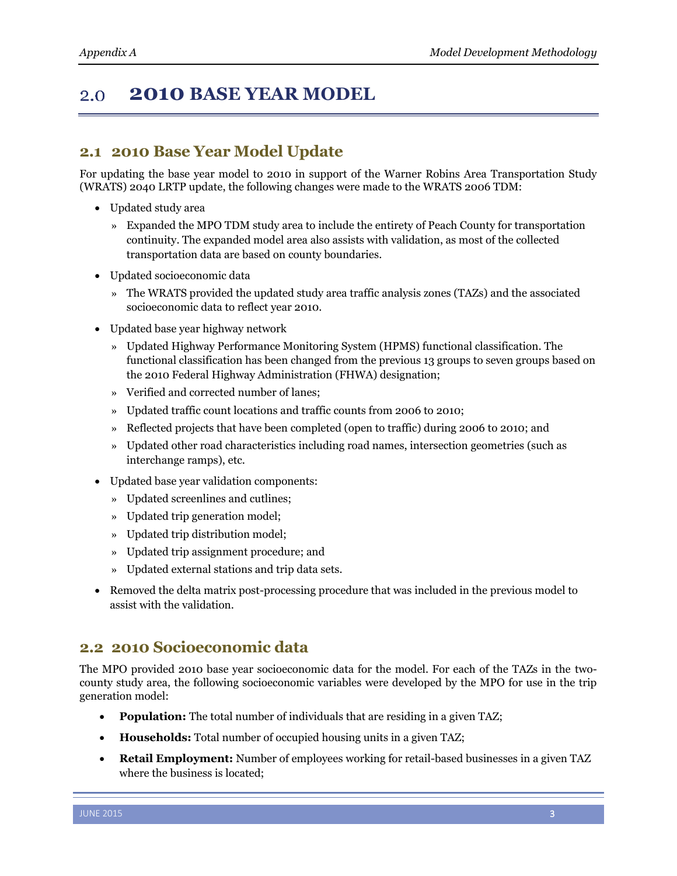#### **2010 BASE YEAR MODEL**  2.0

## **2.1 2010 Base Year Model Update**

For updating the base year model to 2010 in support of the Warner Robins Area Transportation Study (WRATS) 2040 LRTP update, the following changes were made to the WRATS 2006 TDM:

- Updated study area
	- » Expanded the MPO TDM study area to include the entirety of Peach County for transportation continuity. The expanded model area also assists with validation, as most of the collected transportation data are based on county boundaries.
- Updated socioeconomic data
	- » The WRATS provided the updated study area traffic analysis zones (TAZs) and the associated socioeconomic data to reflect year 2010.
- Updated base year highway network
	- » Updated Highway Performance Monitoring System (HPMS) functional classification. The functional classification has been changed from the previous 13 groups to seven groups based on the 2010 Federal Highway Administration (FHWA) designation;
	- » Verified and corrected number of lanes;
	- » Updated traffic count locations and traffic counts from 2006 to 2010;
	- » Reflected projects that have been completed (open to traffic) during 2006 to 2010; and
	- » Updated other road characteristics including road names, intersection geometries (such as interchange ramps), etc.
- Updated base year validation components:
	- » Updated screenlines and cutlines;
	- » Updated trip generation model;
	- » Updated trip distribution model;
	- » Updated trip assignment procedure; and
	- » Updated external stations and trip data sets.
- Removed the delta matrix post-processing procedure that was included in the previous model to assist with the validation.

## **2.2 2010 Socioeconomic data**

The MPO provided 2010 base year socioeconomic data for the model. For each of the TAZs in the twocounty study area, the following socioeconomic variables were developed by the MPO for use in the trip generation model:

- **Population:** The total number of individuals that are residing in a given TAZ;
- **Households:** Total number of occupied housing units in a given TAZ;
- **Retail Employment:** Number of employees working for retail-based businesses in a given TAZ where the business is located;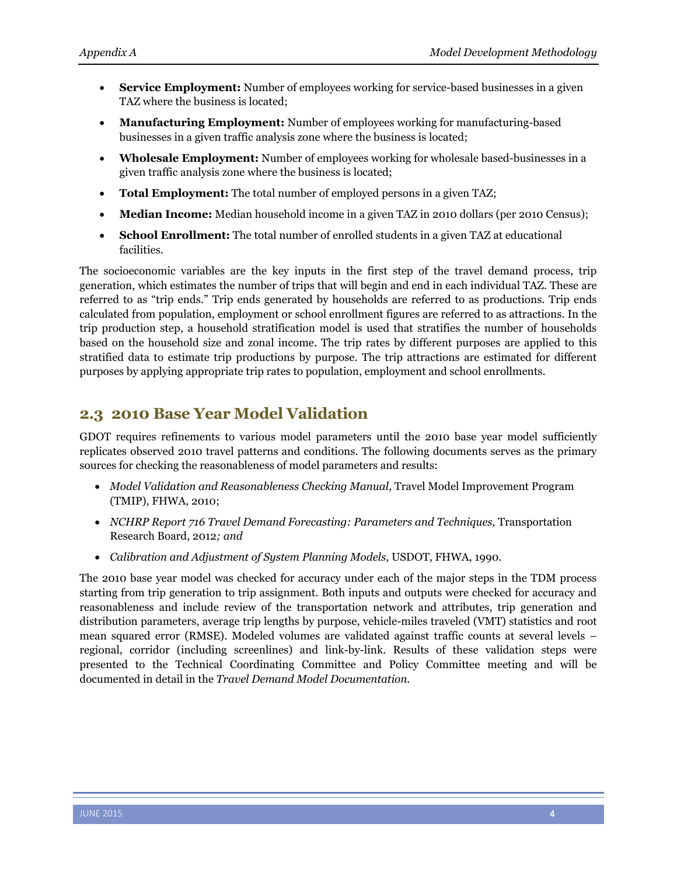- **Service Employment:** Number of employees working for service-based businesses in a given TAZ where the business is located;
- **Manufacturing Employment:** Number of employees working for manufacturing-based businesses in a given traffic analysis zone where the business is located;
- **Wholesale Employment:** Number of employees working for wholesale based-businesses in a given traffic analysis zone where the business is located;
- **Total Employment:** The total number of employed persons in a given TAZ;
- **Median Income:** Median household income in a given TAZ in 2010 dollars (per 2010 Census);
- **School Enrollment:** The total number of enrolled students in a given TAZ at educational facilities.

The socioeconomic variables are the key inputs in the first step of the travel demand process, trip generation, which estimates the number of trips that will begin and end in each individual TAZ. These are referred to as "trip ends." Trip ends generated by households are referred to as productions. Trip ends calculated from population, employment or school enrollment figures are referred to as attractions. In the trip production step, a household stratification model is used that stratifies the number of households based on the household size and zonal income. The trip rates by different purposes are applied to this stratified data to estimate trip productions by purpose. The trip attractions are estimated for different purposes by applying appropriate trip rates to population, employment and school enrollments.

## **2.3 2010 Base Year Model Validation**

GDOT requires refinements to various model parameters until the 2010 base year model sufficiently replicates observed 2010 travel patterns and conditions. The following documents serves as the primary sources for checking the reasonableness of model parameters and results:

- *Model Validation and Reasonableness Checking Manual*, Travel Model Improvement Program (TMIP), FHWA, 2010;
- *NCHRP Report 716 Travel Demand Forecasting: Parameters and Techniques, Transportation* Research Board, 2012*; and*
- *Calibration and Adjustment of System Planning Models*, USDOT, FHWA, 1990.

The 2010 base year model was checked for accuracy under each of the major steps in the TDM process starting from trip generation to trip assignment. Both inputs and outputs were checked for accuracy and reasonableness and include review of the transportation network and attributes, trip generation and distribution parameters, average trip lengths by purpose, vehicle-miles traveled (VMT) statistics and root mean squared error (RMSE). Modeled volumes are validated against traffic counts at several levels – regional, corridor (including screenlines) and link-by-link. Results of these validation steps were presented to the Technical Coordinating Committee and Policy Committee meeting and will be documented in detail in the *Travel Demand Model Documentation.*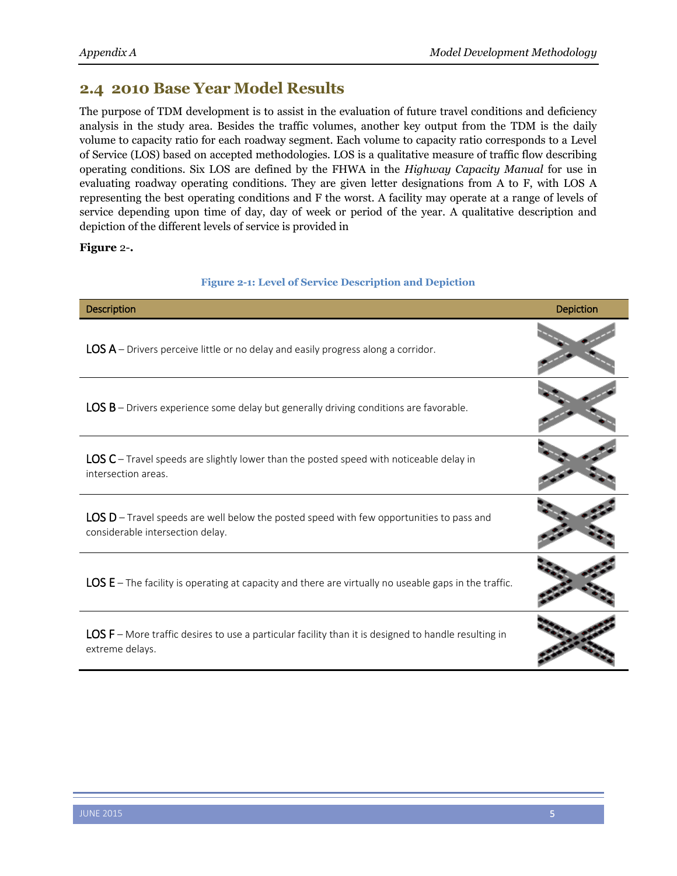## **2.4 2010 Base Year Model Results**

The purpose of TDM development is to assist in the evaluation of future travel conditions and deficiency analysis in the study area. Besides the traffic volumes, another key output from the TDM is the daily volume to capacity ratio for each roadway segment. Each volume to capacity ratio corresponds to a Level of Service (LOS) based on accepted methodologies. LOS is a qualitative measure of traffic flow describing operating conditions. Six LOS are defined by the FHWA in the *Highway Capacity Manual* for use in evaluating roadway operating conditions. They are given letter designations from A to F, with LOS A representing the best operating conditions and F the worst. A facility may operate at a range of levels of service depending upon time of day, day of week or period of the year. A qualitative description and depiction of the different levels of service is provided in

<span id="page-4-0"></span>**[Figure](#page-4-0)** 2-**.**

### **Figure 2-1: Level of Service Description and Depiction**

| <b>Description</b>                                                                                                             | Depiction |
|--------------------------------------------------------------------------------------------------------------------------------|-----------|
| $LOS A - Driver$ s perceive little or no delay and easily progress along a corridor.                                           |           |
| LOS B - Drivers experience some delay but generally driving conditions are favorable.                                          |           |
| $LOS C$ – Travel speeds are slightly lower than the posted speed with noticeable delay in<br>intersection areas.               |           |
| $LOS D - Travel speeds are well below the posted speed with few opportunities to pass and$<br>considerable intersection delay. |           |
| $LOS E$ – The facility is operating at capacity and there are virtually no useable gaps in the traffic.                        |           |
| LOS F – More traffic desires to use a particular facility than it is designed to handle resulting in<br>extreme delays.        |           |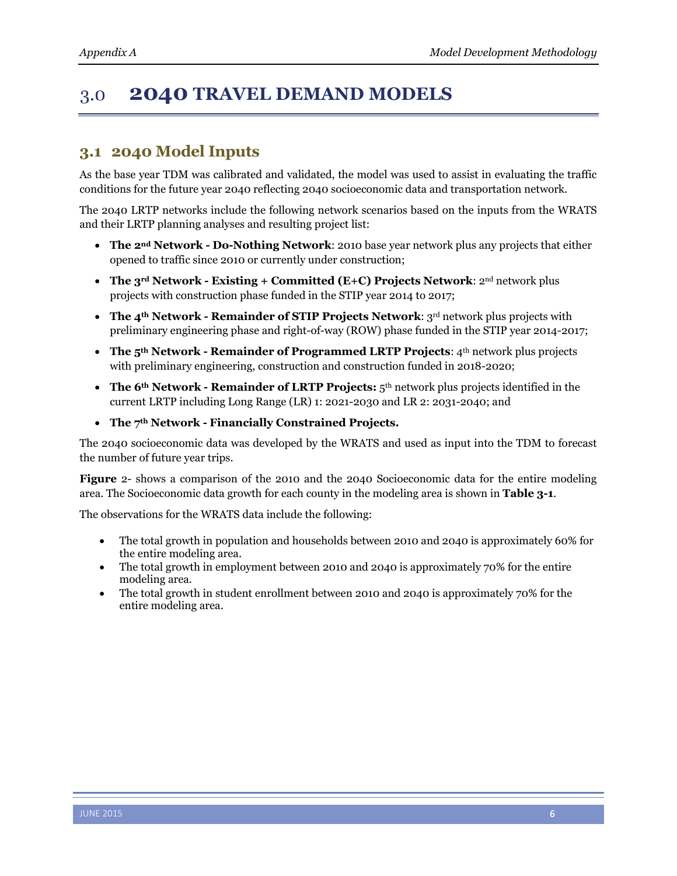### **2040 TRAVEL DEMAND MODELS**  $3.0$

# **3.1 2040 Model Inputs**

As the base year TDM was calibrated and validated, the model was used to assist in evaluating the traffic conditions for the future year 2040 reflecting 2040 socioeconomic data and transportation network.

The 2040 LRTP networks include the following network scenarios based on the inputs from the WRATS and their LRTP planning analyses and resulting project list:

- **The 2nd Network - Do-Nothing Network**: 2010 base year network plus any projects that either opened to traffic since 2010 or currently under construction;
- **The 3rd Network - Existing + Committed (E+C) Projects Network**: 2nd network plus projects with construction phase funded in the STIP year 2014 to 2017;
- **The 4th Network - Remainder of STIP Projects Network**: 3rd network plus projects with preliminary engineering phase and right-of-way (ROW) phase funded in the STIP year 2014-2017;
- **The 5th Network - Remainder of Programmed LRTP Projects**: 4th network plus projects with preliminary engineering, construction and construction funded in 2018-2020;
- **The 6th Network - Remainder of LRTP Projects:** 5th network plus projects identified in the current LRTP including Long Range (LR) 1: 2021-2030 and LR 2: 2031-2040; and
- **The 7th Network - Financially Constrained Projects.**

The 2040 socioeconomic data was developed by the WRATS and used as input into the TDM to forecast the number of future year trips[.](#page-4-0) 

**[Figure](#page-4-0)** 2- shows a comparison of the 2010 and the 2040 Socioeconomic data for the entire modeling area. The Socioeconomic data growth for each county in the modeling area is shown in **Table 3-1**.

The observations for the WRATS data include the following:

- The total growth in population and households between 2010 and 2040 is approximately 60% for the entire modeling area.
- The total growth in employment between 2010 and 2040 is approximately 70% for the entire modeling area.
- The total growth in student enrollment between 2010 and 2040 is approximately 70% for the entire modeling area.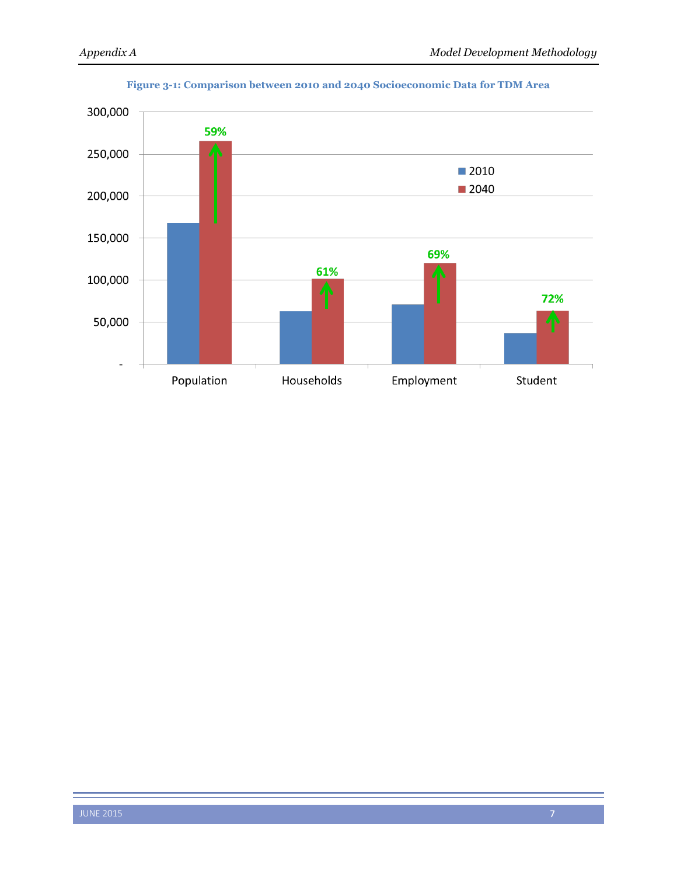

### **Figure 3-1: Comparison between 2010 and 2040 Socioeconomic Data for TDM Area**